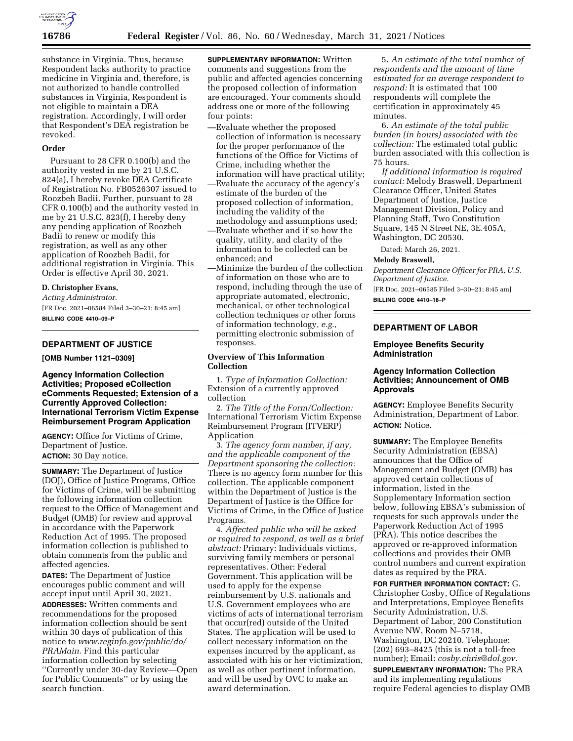

substance in Virginia. Thus, because Respondent lacks authority to practice medicine in Virginia and, therefore, is not authorized to handle controlled substances in Virginia, Respondent is not eligible to maintain a DEA registration. Accordingly, I will order that Respondent's DEA registration be revoked.

### **Order**

Pursuant to 28 CFR 0.100(b) and the authority vested in me by 21 U.S.C. 824(a), I hereby revoke DEA Certificate of Registration No. FB0526307 issued to Roozbeh Badii. Further, pursuant to 28 CFR 0.100(b) and the authority vested in me by 21 U.S.C. 823(f), I hereby deny any pending application of Roozbeh Badii to renew or modify this registration, as well as any other application of Roozbeh Badii, for additional registration in Virginia. This Order is effective April 30, 2021.

### **D. Christopher Evans,**

*Acting Administrator.* 

[FR Doc. 2021–06584 Filed 3–30–21; 8:45 am] **BILLING CODE 4410–09–P** 

# **DEPARTMENT OF JUSTICE**

**[OMB Number 1121–0309]** 

# **Agency Information Collection Activities; Proposed eCollection eComments Requested; Extension of a Currently Approved Collection: International Terrorism Victim Expense Reimbursement Program Application**

**AGENCY:** Office for Victims of Crime, Department of Justice. **ACTION:** 30 Day notice.

**SUMMARY:** The Department of Justice (DOJ), Office of Justice Programs, Office for Victims of Crime, will be submitting the following information collection request to the Office of Management and Budget (OMB) for review and approval in accordance with the Paperwork Reduction Act of 1995. The proposed information collection is published to obtain comments from the public and affected agencies.

**DATES:** The Department of Justice encourages public comment and will accept input until April 30, 2021.

**ADDRESSES:** Written comments and recommendations for the proposed information collection should be sent within 30 days of publication of this notice to *[www.reginfo.gov/public/do/](http://www.reginfo.gov/public/do/PRAMain) [PRAMain](http://www.reginfo.gov/public/do/PRAMain)*. Find this particular information collection by selecting ''Currently under 30-day Review—Open for Public Comments'' or by using the search function.

**SUPPLEMENTARY INFORMATION:** Written comments and suggestions from the public and affected agencies concerning the proposed collection of information are encouraged. Your comments should address one or more of the following four points:

- —Evaluate whether the proposed collection of information is necessary for the proper performance of the functions of the Office for Victims of Crime, including whether the information will have practical utility;
- —Evaluate the accuracy of the agency's estimate of the burden of the proposed collection of information, including the validity of the methodology and assumptions used;
- —Evaluate whether and if so how the quality, utility, and clarity of the information to be collected can be enhanced; and
- —Minimize the burden of the collection of information on those who are to respond, including through the use of appropriate automated, electronic, mechanical, or other technological collection techniques or other forms of information technology, *e.g.,*  permitting electronic submission of responses.

### **Overview of This Information Collection**

1. *Type of Information Collection:*  Extension of a currently approved collection

2. *The Title of the Form/Collection:*  International Terrorism Victim Expense Reimbursement Program (ITVERP) Application

3. *The agency form number, if any, and the applicable component of the Department sponsoring the collection:*  There is no agency form number for this collection. The applicable component within the Department of Justice is the Department of Justice is the Office for Victims of Crime, in the Office of Justice Programs.

4. *Affected public who will be asked or required to respond, as well as a brief abstract:* Primary: Individuals victims, surviving family members or personal representatives. Other: Federal Government. This application will be used to apply for the expense reimbursement by U.S. nationals and U.S. Government employees who are victims of acts of international terrorism that occur(red) outside of the United States. The application will be used to collect necessary information on the expenses incurred by the applicant, as associated with his or her victimization, as well as other pertinent information, and will be used by OVC to make an award determination.

5. *An estimate of the total number of respondents and the amount of time estimated for an average respondent to respond:* It is estimated that 100 respondents will complete the certification in approximately 45 minutes.

6. *An estimate of the total public burden (in hours) associated with the collection:* The estimated total public burden associated with this collection is 75 hours.

*If additional information is required contact:* Melody Braswell, Department Clearance Officer, United States Department of Justice, Justice Management Division, Policy and Planning Staff, Two Constitution Square, 145 N Street NE, 3E.405A, Washington, DC 20530.

Dated: March 26, 2021.

#### **Melody Braswell,**

*Department Clearance Officer for PRA, U.S. Department of Justice.* 

[FR Doc. 2021–06585 Filed 3–30–21; 8:45 am] **BILLING CODE 4410–18–P** 

# **DEPARTMENT OF LABOR**

### **Employee Benefits Security Administration**

# **Agency Information Collection Activities; Announcement of OMB Approvals**

**AGENCY:** Employee Benefits Security Administration, Department of Labor. **ACTION:** Notice.

**SUMMARY:** The Employee Benefits Security Administration (EBSA) announces that the Office of Management and Budget (OMB) has approved certain collections of information, listed in the Supplementary Information section below, following EBSA's submission of requests for such approvals under the Paperwork Reduction Act of 1995 (PRA). This notice describes the approved or re-approved information collections and provides their OMB control numbers and current expiration dates as required by the PRA.

**FOR FURTHER INFORMATION CONTACT:** G. Christopher Cosby, Office of Regulations and Interpretations, Employee Benefits Security Administration, U.S. Department of Labor, 200 Constitution Avenue NW, Room N–5718, Washington, DC 20210. Telephone: (202) 693–8425 (this is not a toll-free number); Email: *[cosby.chris@dol.gov.](mailto:cosby.chris@dol.gov)* 

**SUPPLEMENTARY INFORMATION:** The PRA and its implementing regulations require Federal agencies to display OMB